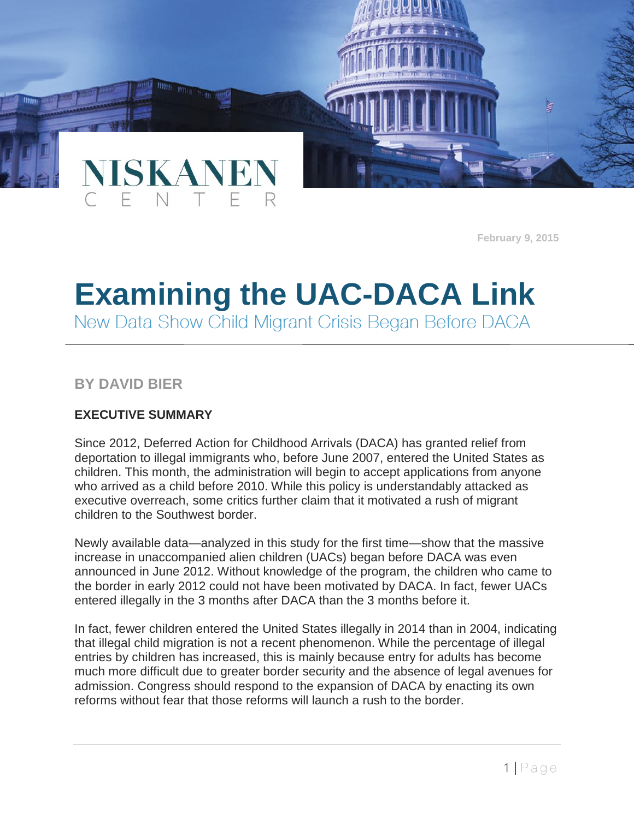

# **Examining the UAC-DACA Link**

# **BY DAVID BIER**

## **EXECUTIVE SUMMARY**

NISKAN

Since 2012, Deferred Action for Childhood Arrivals (DACA) has granted relief from deportation to illegal immigrants who, before June 2007, entered the United States as children. This month, the administration will begin to accept applications from anyone who arrived as a child before 2010. While this policy is understandably attacked as executive overreach, some critics further claim that it motivated a rush of migrant children to the Southwest border.

Newly available data—analyzed in this study for the first time—show that the massive increase in unaccompanied alien children (UACs) began before DACA was even announced in June 2012. Without knowledge of the program, the children who came to the border in early 2012 could not have been motivated by DACA. In fact, fewer UACs entered illegally in the 3 months after DACA than the 3 months before it.

In fact, fewer children entered the United States illegally in 2014 than in 2004, indicating that illegal child migration is not a recent phenomenon. While the percentage of illegal entries by children has increased, this is mainly because entry for adults has become much more difficult due to greater border security and the absence of legal avenues for admission. Congress should respond to the expansion of DACA by enacting its own reforms without fear that those reforms will launch a rush to the border.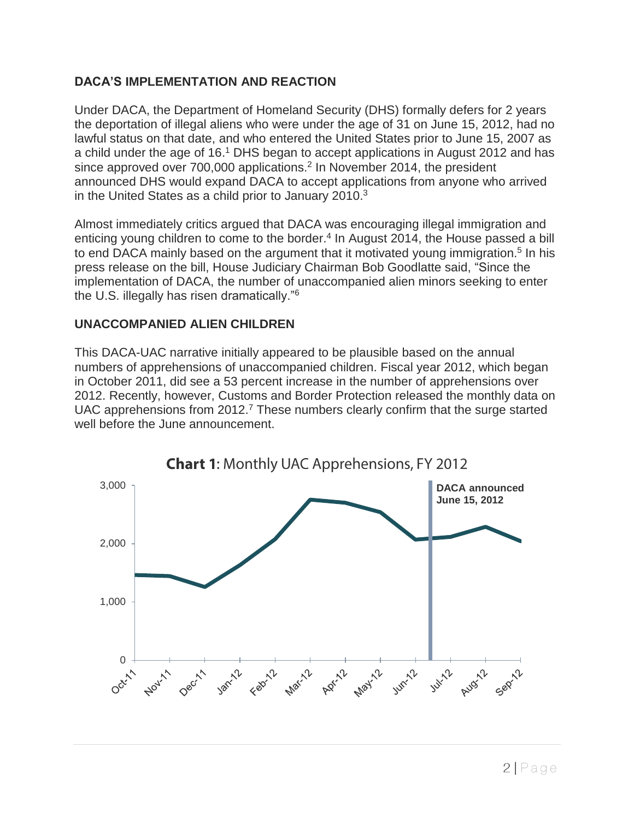## **DACA'S IMPLEMENTATION AND REACTION**

Under DACA, the Department of Homeland Security (DHS) formally defers for 2 years the deportation of illegal aliens who were under the age of 31 on June 15, 2012, had no lawful status on that date, and who entered the United States prior to June 15, 2007 as a child under the age of 16.<sup>1</sup> DHS began to accept applications in August 2012 and has since approved over 700,000 applications.<sup>2</sup> In November 2014, the president announced DHS would expand DACA to accept applications from anyone who arrived in the United States as a child prior to January 2010.<sup>3</sup>

Almost immediately critics argued that DACA was encouraging illegal immigration and enticing young children to come to the border.<sup>4</sup> In August 2014, the House passed a bill to end DACA mainly based on the argument that it motivated young immigration.<sup>5</sup> In his press release on the bill, House Judiciary Chairman Bob Goodlatte said, "Since the implementation of DACA, the number of unaccompanied alien minors seeking to enter the U.S. illegally has risen dramatically."<sup>6</sup>

#### **UNACCOMPANIED ALIEN CHILDREN**

This DACA-UAC narrative initially appeared to be plausible based on the annual numbers of apprehensions of unaccompanied children. Fiscal year 2012, which began in October 2011, did see a 53 percent increase in the number of apprehensions over 2012. Recently, however, Customs and Border Protection released the monthly data on UAC apprehensions from  $2012<sup>7</sup>$  These numbers clearly confirm that the surge started well before the June announcement.

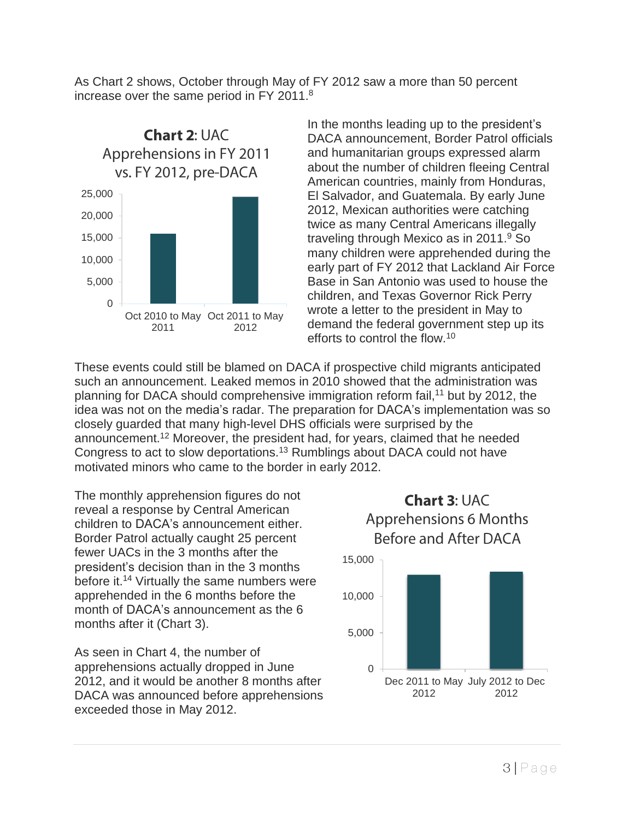As Chart 2 shows, October through May of FY 2012 saw a more than 50 percent increase over the same period in FY 2011.<sup>8</sup>



In the months leading up to the president's DACA announcement, Border Patrol officials and humanitarian groups expressed alarm about the number of children fleeing Central American countries, mainly from Honduras, El Salvador, and Guatemala. By early June 2012, Mexican authorities were catching twice as many Central Americans illegally traveling through Mexico as in 2011.<sup>9</sup> So many children were apprehended during the early part of FY 2012 that Lackland Air Force Base in San Antonio was used to house the children, and Texas Governor Rick Perry wrote a letter to the president in May to demand the federal government step up its efforts to control the flow.<sup>10</sup>

These events could still be blamed on DACA if prospective child migrants anticipated such an announcement. Leaked memos in 2010 showed that the administration was planning for DACA should comprehensive immigration reform fail,<sup>11</sup> but by 2012, the idea was not on the media's radar. The preparation for DACA's implementation was so closely guarded that many high-level DHS officials were surprised by the announcement.<sup>12</sup> Moreover, the president had, for years, claimed that he needed Congress to act to slow deportations.<sup>13</sup> Rumblings about DACA could not have motivated minors who came to the border in early 2012.

The monthly apprehension figures do not reveal a response by Central American children to DACA's announcement either. Border Patrol actually caught 25 percent fewer UACs in the 3 months after the president's decision than in the 3 months before it.<sup>14</sup> Virtually the same numbers were apprehended in the 6 months before the month of DACA's announcement as the 6 months after it (Chart 3).

As seen in Chart 4, the number of apprehensions actually dropped in June 2012, and it would be another 8 months after DACA was announced before apprehensions exceeded those in May 2012.

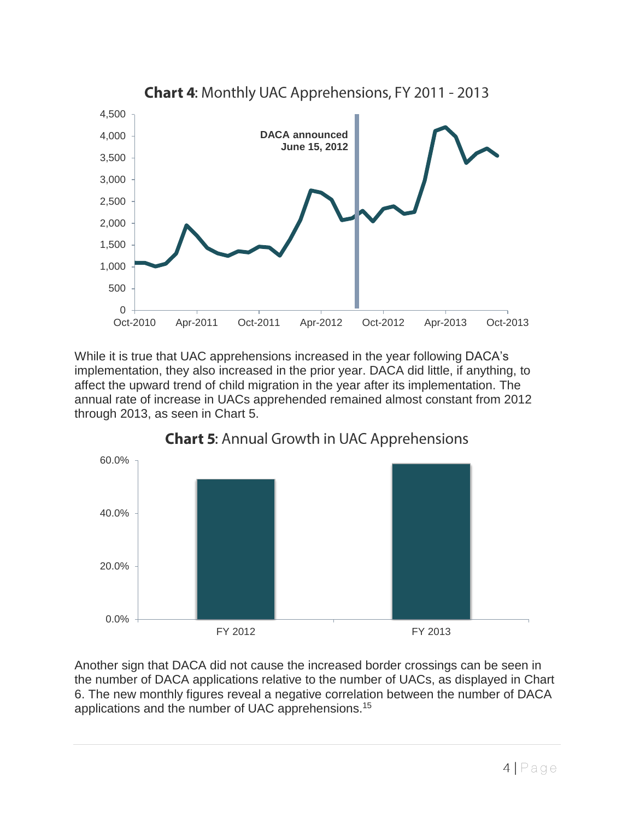

While it is true that UAC apprehensions increased in the year following DACA's implementation, they also increased in the prior year. DACA did little, if anything, to affect the upward trend of child migration in the year after its implementation. The annual rate of increase in UACs apprehended remained almost constant from 2012 through 2013, as seen in Chart 5.



# **Chart 5: Annual Growth in UAC Apprehensions**

Another sign that DACA did not cause the increased border crossings can be seen in the number of DACA applications relative to the number of UACs, as displayed in Chart 6. The new monthly figures reveal a negative correlation between the number of DACA applications and the number of UAC apprehensions.<sup>15</sup>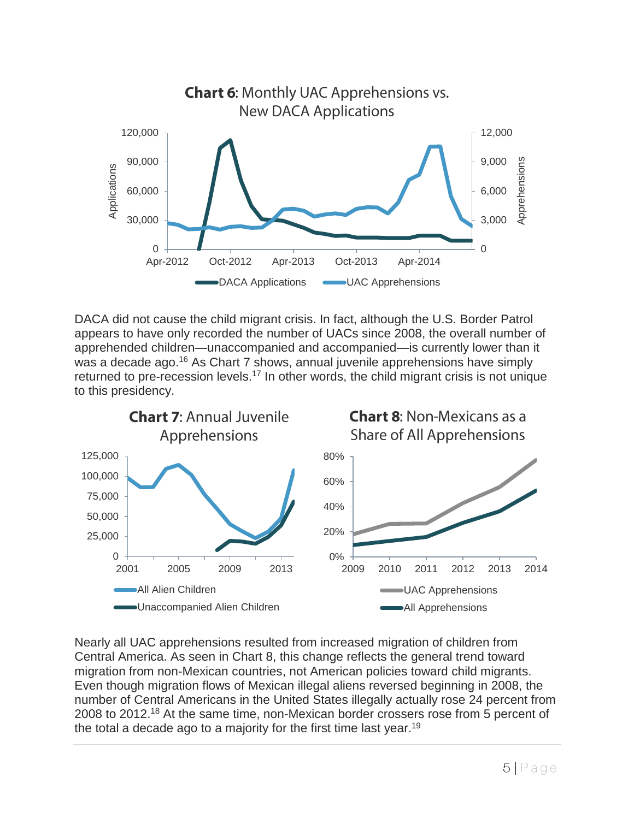

DACA did not cause the child migrant crisis. In fact, although the U.S. Border Patrol appears to have only recorded the number of UACs since 2008, the overall number of apprehended children—unaccompanied and accompanied—is currently lower than it was a decade ago.<sup>16</sup> As Chart 7 shows, annual juvenile apprehensions have simply returned to pre-recession levels.<sup>17</sup> In other words, the child migrant crisis is not unique to this presidency.



Nearly all UAC apprehensions resulted from increased migration of children from Central America. As seen in Chart 8, this change reflects the general trend toward migration from non-Mexican countries, not American policies toward child migrants. Even though migration flows of Mexican illegal aliens reversed beginning in 2008, the number of Central Americans in the United States illegally actually rose 24 percent from 2008 to 2012.<sup>18</sup> At the same time, non-Mexican border crossers rose from 5 percent of the total a decade ago to a majority for the first time last year.<sup>19</sup>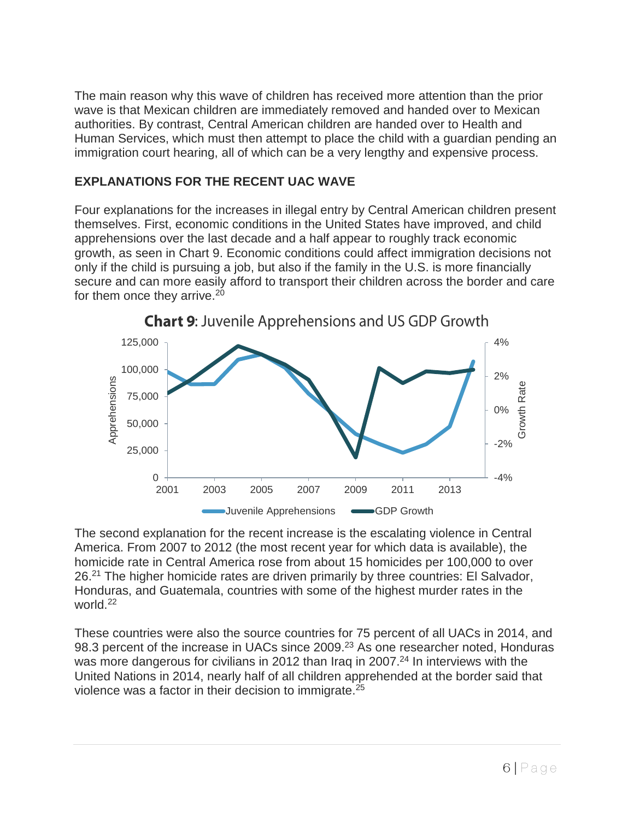The main reason why this wave of children has received more attention than the prior wave is that Mexican children are immediately removed and handed over to Mexican authorities. By contrast, Central American children are handed over to Health and Human Services, which must then attempt to place the child with a guardian pending an immigration court hearing, all of which can be a very lengthy and expensive process.

## **EXPLANATIONS FOR THE RECENT UAC WAVE**

Four explanations for the increases in illegal entry by Central American children present themselves. First, economic conditions in the United States have improved, and child apprehensions over the last decade and a half appear to roughly track economic growth, as seen in Chart 9. Economic conditions could affect immigration decisions not only if the child is pursuing a job, but also if the family in the U.S. is more financially secure and can more easily afford to transport their children across the border and care for them once they arrive.<sup>20</sup>





The second explanation for the recent increase is the escalating violence in Central America. From 2007 to 2012 (the most recent year for which data is available), the homicide rate in Central America rose from about 15 homicides per 100,000 to over 26.<sup>21</sup> The higher homicide rates are driven primarily by three countries: El Salvador, Honduras, and Guatemala, countries with some of the highest murder rates in the world.<sup>22</sup>

These countries were also the source countries for 75 percent of all UACs in 2014, and 98.3 percent of the increase in UACs since 2009.<sup>23</sup> As one researcher noted, Honduras was more dangerous for civilians in 2012 than Irag in 2007.<sup>24</sup> In interviews with the United Nations in 2014, nearly half of all children apprehended at the border said that violence was a factor in their decision to immigrate.<sup>25</sup>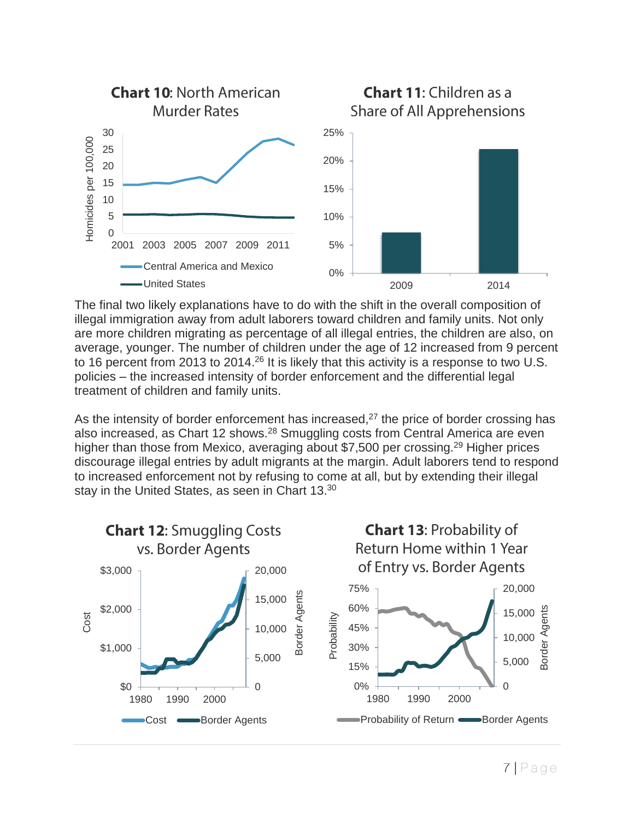

The final two likely explanations have to do with the shift in the overall composition of illegal immigration away from adult laborers toward children and family units. Not only are more children migrating as percentage of all illegal entries, the children are also, on average, younger. The number of children under the age of 12 increased from 9 percent to 16 percent from 2013 to 2014.<sup>26</sup> It is likely that this activity is a response to two U.S. policies – the increased intensity of border enforcement and the differential legal treatment of children and family units.

As the intensity of border enforcement has increased, $27$  the price of border crossing has also increased, as Chart 12 shows.<sup>28</sup> Smuggling costs from Central America are even higher than those from Mexico, averaging about \$7,500 per crossing.<sup>29</sup> Higher prices discourage illegal entries by adult migrants at the margin. Adult laborers tend to respond to increased enforcement not by refusing to come at all, but by extending their illegal stay in the United States, as seen in Chart 13.<sup>30</sup>

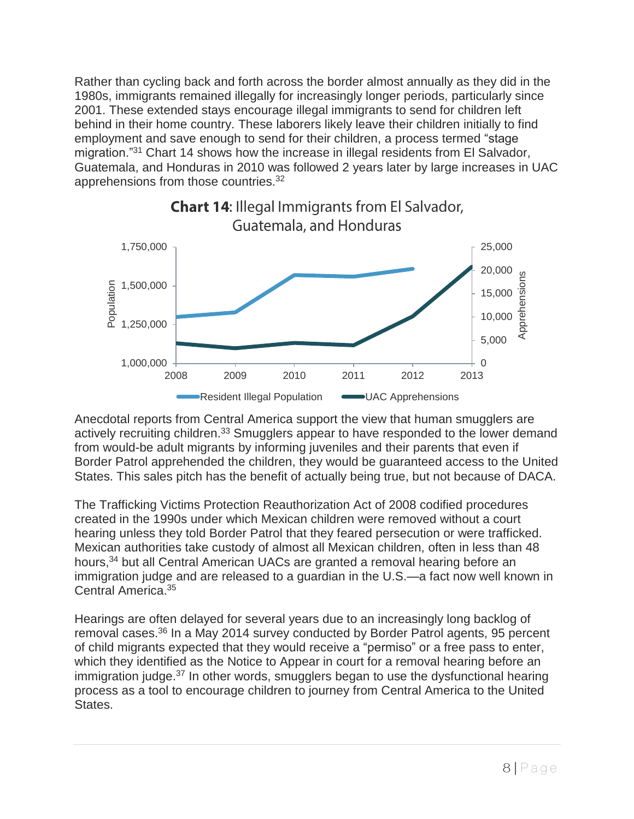Rather than cycling back and forth across the border almost annually as they did in the 1980s, immigrants remained illegally for increasingly longer periods, particularly since 2001. These extended stays encourage illegal immigrants to send for children left behind in their home country. These laborers likely leave their children initially to find employment and save enough to send for their children, a process termed "stage migration."<sup>31</sup> Chart 14 shows how the increase in illegal residents from El Salvador, Guatemala, and Honduras in 2010 was followed 2 years later by large increases in UAC apprehensions from those countries.<sup>32</sup>



Anecdotal reports from Central America support the view that human smugglers are actively recruiting children.<sup>33</sup> Smugglers appear to have responded to the lower demand from would-be adult migrants by informing juveniles and their parents that even if Border Patrol apprehended the children, they would be guaranteed access to the United States. This sales pitch has the benefit of actually being true, but not because of DACA.

The Trafficking Victims Protection Reauthorization Act of 2008 codified procedures created in the 1990s under which Mexican children were removed without a court hearing unless they told Border Patrol that they feared persecution or were trafficked. Mexican authorities take custody of almost all Mexican children, often in less than 48 hours,<sup>34</sup> but all Central American UACs are granted a removal hearing before an immigration judge and are released to a guardian in the U.S.—a fact now well known in Central America.<sup>35</sup>

Hearings are often delayed for several years due to an increasingly long backlog of removal cases.<sup>36</sup> In a May 2014 survey conducted by Border Patrol agents, 95 percent of child migrants expected that they would receive a "permiso" or a free pass to enter, which they identified as the Notice to Appear in court for a removal hearing before an immigration judge.<sup>37</sup> In other words, smugglers began to use the dysfunctional hearing process as a tool to encourage children to journey from Central America to the United States.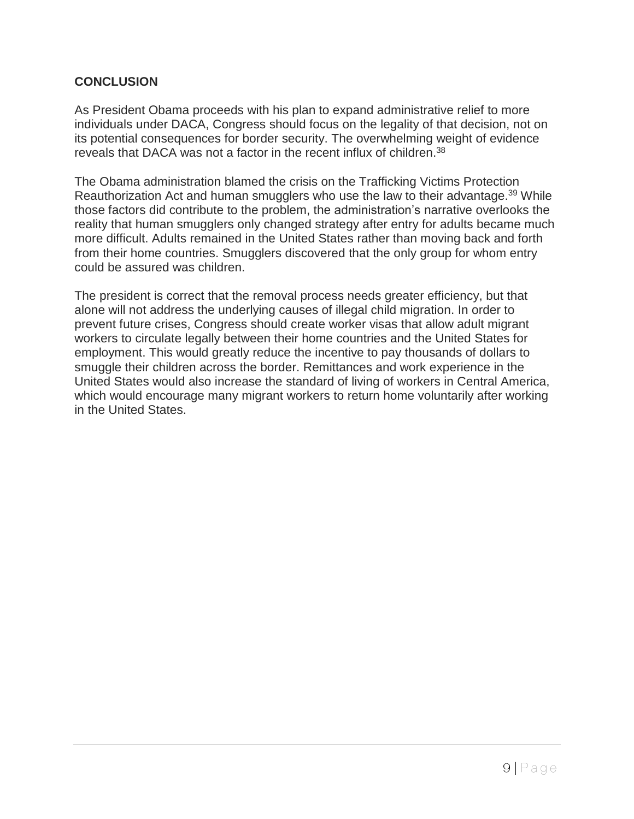#### **CONCLUSION**

As President Obama proceeds with his plan to expand administrative relief to more individuals under DACA, Congress should focus on the legality of that decision, not on its potential consequences for border security. The overwhelming weight of evidence reveals that DACA was not a factor in the recent influx of children.<sup>38</sup>

The Obama administration blamed the crisis on the Trafficking Victims Protection Reauthorization Act and human smugglers who use the law to their advantage.<sup>39</sup> While those factors did contribute to the problem, the administration's narrative overlooks the reality that human smugglers only changed strategy after entry for adults became much more difficult. Adults remained in the United States rather than moving back and forth from their home countries. Smugglers discovered that the only group for whom entry could be assured was children.

The president is correct that the removal process needs greater efficiency, but that alone will not address the underlying causes of illegal child migration. In order to prevent future crises, Congress should create worker visas that allow adult migrant workers to circulate legally between their home countries and the United States for employment. This would greatly reduce the incentive to pay thousands of dollars to smuggle their children across the border. Remittances and work experience in the United States would also increase the standard of living of workers in Central America, which would encourage many migrant workers to return home voluntarily after working in the United States.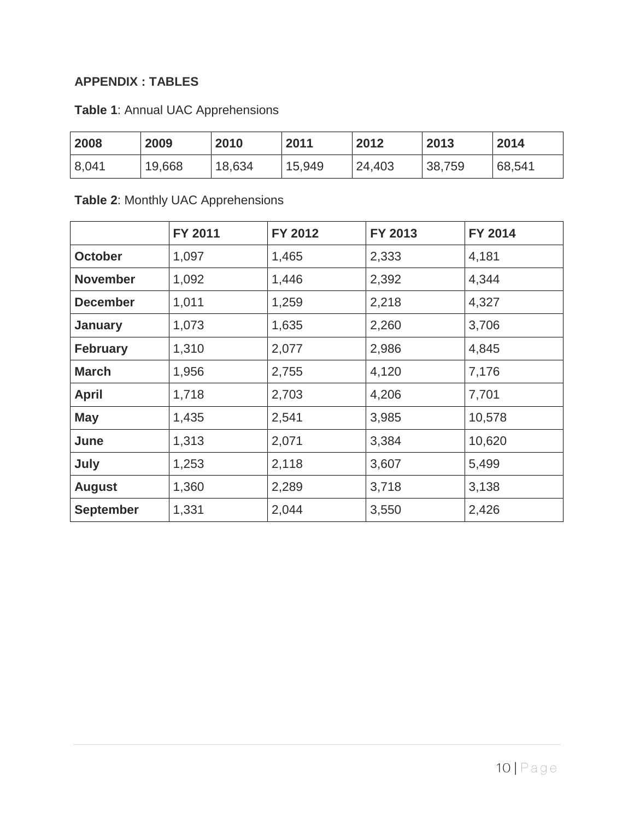# **APPENDIX : TABLES**

| <b>Table 1: Annual UAC Apprehensions</b> |  |
|------------------------------------------|--|
|------------------------------------------|--|

| 2008  | 2009   | 2010   | 2011   | 2012   | 2013   | 2014   |
|-------|--------|--------|--------|--------|--------|--------|
| 8,041 | 19,668 | 18,634 | 15,949 | 24,403 | 38,759 | 68,541 |

# **Table 2**: Monthly UAC Apprehensions

|                  | FY 2011 | FY 2012 | FY 2013 | FY 2014 |
|------------------|---------|---------|---------|---------|
| <b>October</b>   | 1,097   | 1,465   | 2,333   | 4,181   |
| <b>November</b>  | 1,092   | 1,446   | 2,392   | 4,344   |
| <b>December</b>  | 1,011   | 1,259   | 2,218   | 4,327   |
| <b>January</b>   | 1,073   | 1,635   | 2,260   | 3,706   |
| <b>February</b>  | 1,310   | 2,077   | 2,986   | 4,845   |
| <b>March</b>     | 1,956   | 2,755   | 4,120   | 7,176   |
| <b>April</b>     | 1,718   | 2,703   | 4,206   | 7,701   |
| <b>May</b>       | 1,435   | 2,541   | 3,985   | 10,578  |
| June             | 1,313   | 2,071   | 3,384   | 10,620  |
| July             | 1,253   | 2,118   | 3,607   | 5,499   |
| <b>August</b>    | 1,360   | 2,289   | 3,718   | 3,138   |
| <b>September</b> | 1,331   | 2,044   | 3,550   | 2,426   |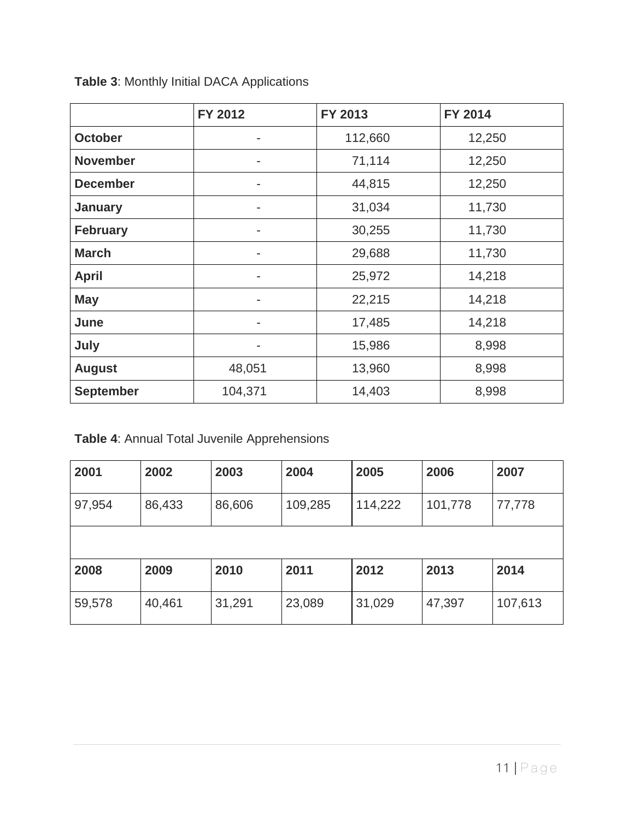|                  | FY 2012 | FY 2013 | FY 2014 |
|------------------|---------|---------|---------|
| <b>October</b>   |         | 112,660 | 12,250  |
| <b>November</b>  | ۰       | 71,114  | 12,250  |
| <b>December</b>  | ۰       | 44,815  | 12,250  |
| <b>January</b>   | ٠       | 31,034  | 11,730  |
| <b>February</b>  |         | 30,255  | 11,730  |
| <b>March</b>     | ۰       | 29,688  | 11,730  |
| <b>April</b>     |         | 25,972  | 14,218  |
| <b>May</b>       |         | 22,215  | 14,218  |
| June             |         | 17,485  | 14,218  |
| July             | ۰       | 15,986  | 8,998   |
| <b>August</b>    | 48,051  | 13,960  | 8,998   |
| <b>September</b> | 104,371 | 14,403  | 8,998   |

**Table 3**: Monthly Initial DACA Applications

**Table 4**: Annual Total Juvenile Apprehensions

| 2001   | 2002   | 2003   | 2004    | 2005    | 2006    | 2007    |
|--------|--------|--------|---------|---------|---------|---------|
| 97,954 | 86,433 | 86,606 | 109,285 | 114,222 | 101,778 | 77,778  |
|        |        |        |         |         |         |         |
| 2008   | 2009   | 2010   | 2011    | 2012    | 2013    | 2014    |
| 59,578 | 40,461 | 31,291 | 23,089  | 31,029  | 47,397  | 107,613 |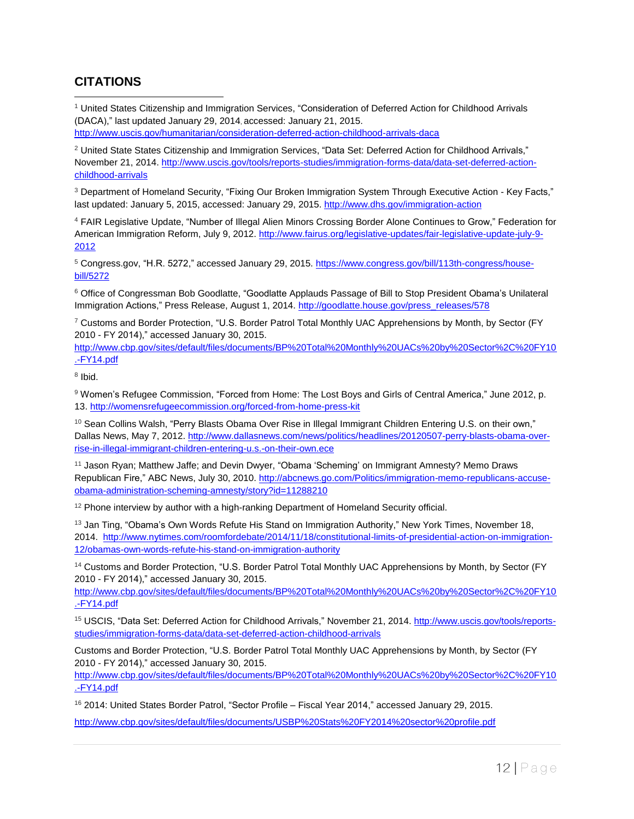### **CITATIONS**

 $\overline{a}$ 

<sup>1</sup> United States Citizenship and Immigration Services, "Consideration of Deferred Action for Childhood Arrivals (DACA)," last updated January 29, 2014, accessed: January 21, 2015. <http://www.uscis.gov/humanitarian/consideration-deferred-action-childhood-arrivals-daca>

<sup>2</sup> United State States Citizenship and Immigration Services, "Data Set: Deferred Action for Childhood Arrivals," November 21, 2014. [http://www.uscis.gov/tools/reports-studies/immigration-forms-data/data-set-deferred-action](http://www.uscis.gov/tools/reports-studies/immigration-forms-data/data-set-deferred-action-childhood-arrivals)[childhood-arrivals](http://www.uscis.gov/tools/reports-studies/immigration-forms-data/data-set-deferred-action-childhood-arrivals) 

<sup>3</sup> Department of Homeland Security, "Fixing Our Broken Immigration System Through Executive Action - Key Facts," last updated: January 5, 2015, accessed: January 29, 2015. <http://www.dhs.gov/immigration-action>

<sup>4</sup> FAIR Legislative Update, "Number of Illegal Alien Minors Crossing Border Alone Continues to Grow," Federation for American Immigration Reform, July 9, 2012. [http://www.fairus.org/legislative-updates/fair-legislative-update-july-9-](http://www.fairus.org/legislative-updates/fair-legislative-update-july-9-2012) [2012](http://www.fairus.org/legislative-updates/fair-legislative-update-july-9-2012)

<sup>5</sup> Congress.gov, "H.R. 5272," accessed January 29, 2015. [https://www.congress.gov/bill/113th-congress/house](https://www.congress.gov/bill/113th-congress/house-bill/5272)[bill/5272](https://www.congress.gov/bill/113th-congress/house-bill/5272)

<sup>6</sup> Office of Congressman Bob Goodlatte, "Goodlatte Applauds Passage of Bill to Stop President Obama's Unilateral Immigration Actions," Press Release, August 1, 2014. [http://goodlatte.house.gov/press\\_releases/578](http://goodlatte.house.gov/press_releases/578)

<sup>7</sup> Customs and Border Protection, "U.S. Border Patrol Total Monthly UAC Apprehensions by Month, by Sector (FY 2010 - FY 2014)," accessed January 30, 2015.

[http://www.cbp.gov/sites/default/files/documents/BP%20Total%20Monthly%20UACs%20by%20Sector%2C%20FY10](http://www.cbp.gov/sites/default/files/documents/BP%2520Total%2520Monthly%2520UACs%2520by%2520Sector%252C%2520FY10.-FY14.pdf) [.-FY14.pdf](http://www.cbp.gov/sites/default/files/documents/BP%2520Total%2520Monthly%2520UACs%2520by%2520Sector%252C%2520FY10.-FY14.pdf)

<sup>8</sup> Ibid.

<sup>9</sup> Women's Refugee Commission, "Forced from Home: The Lost Boys and Girls of Central America," June 2012, p. 13. <http://womensrefugeecommission.org/forced-from-home-press-kit>

<sup>10</sup> Sean Collins Walsh, "Perry Blasts Obama Over Rise in Illegal Immigrant Children Entering U.S. on their own," Dallas News, May 7, 2012. [http://www.dallasnews.com/news/politics/headlines/20120507-perry-blasts-obama-over](http://www.dallasnews.com/news/politics/headlines/20120507-perry-blasts-obama-over-rise-in-illegal-immigrant-children-entering-u.s.-on-their-own.ece)[rise-in-illegal-immigrant-children-entering-u.s.-on-their-own.ece](http://www.dallasnews.com/news/politics/headlines/20120507-perry-blasts-obama-over-rise-in-illegal-immigrant-children-entering-u.s.-on-their-own.ece)

<sup>11</sup> Jason Ryan; Matthew Jaffe; and Devin Dwyer, "Obama 'Scheming' on Immigrant Amnesty? Memo Draws Republican Fire," ABC News, July 30, 2010. [http://abcnews.go.com/Politics/immigration-memo-republicans-accuse](http://abcnews.go.com/Politics/immigration-memo-republicans-accuse-obama-administration-scheming-amnesty/story?id=11288210)[obama-administration-scheming-amnesty/story?id=11288210](http://abcnews.go.com/Politics/immigration-memo-republicans-accuse-obama-administration-scheming-amnesty/story?id=11288210)

<sup>12</sup> Phone interview by author with a high-ranking Department of Homeland Security official.

<sup>13</sup> Jan Ting, "Obama's Own Words Refute His Stand on Immigration Authority," New York Times, November 18, 2014. [http://www.nytimes.com/roomfordebate/2014/11/18/constitutional-limits-of-presidential-action-on-immigration-](http://www.nytimes.com/roomfordebate/2014/11/18/constitutional-limits-of-presidential-action-on-immigration-12/obamas-own-words-refute-his-stand-on-immigration-authority)[12/obamas-own-words-refute-his-stand-on-immigration-authority](http://www.nytimes.com/roomfordebate/2014/11/18/constitutional-limits-of-presidential-action-on-immigration-12/obamas-own-words-refute-his-stand-on-immigration-authority)

<sup>14</sup> Customs and Border Protection, "U.S. Border Patrol Total Monthly UAC Apprehensions by Month, by Sector (FY 2010 - FY 2014)," accessed January 30, 2015.

[http://www.cbp.gov/sites/default/files/documents/BP%20Total%20Monthly%20UACs%20by%20Sector%2C%20FY10](http://www.cbp.gov/sites/default/files/documents/BP%2520Total%2520Monthly%2520UACs%2520by%2520Sector%252C%2520FY10.-FY14.pdf) [.-FY14.pdf](http://www.cbp.gov/sites/default/files/documents/BP%2520Total%2520Monthly%2520UACs%2520by%2520Sector%252C%2520FY10.-FY14.pdf)

<sup>15</sup> USCIS, "Data Set: Deferred Action for Childhood Arrivals," November 21, 2014. [http://www.uscis.gov/tools/reports](http://www.uscis.gov/tools/reports-studies/immigration-forms-data/data-set-deferred-action-childhood-arrivals)[studies/immigration-forms-data/data-set-deferred-action-childhood-arrivals](http://www.uscis.gov/tools/reports-studies/immigration-forms-data/data-set-deferred-action-childhood-arrivals)

Customs and Border Protection, "U.S. Border Patrol Total Monthly UAC Apprehensions by Month, by Sector (FY 2010 - FY 2014)," accessed January 30, 2015.

[http://www.cbp.gov/sites/default/files/documents/BP%20Total%20Monthly%20UACs%20by%20Sector%2C%20FY10](http://www.cbp.gov/sites/default/files/documents/BP%2520Total%2520Monthly%2520UACs%2520by%2520Sector%252C%2520FY10.-FY14.pdf) [.-FY14.pdf](http://www.cbp.gov/sites/default/files/documents/BP%2520Total%2520Monthly%2520UACs%2520by%2520Sector%252C%2520FY10.-FY14.pdf)

<sup>16</sup> 2014: United States Border Patrol, "Sector Profile – Fiscal Year 2014," accessed January 29, 2015.

[http://www.cbp.gov/sites/default/files/documents/USBP%20Stats%20FY2014%20sector%20profile.pdf](http://www.cbp.gov/sites/default/files/documents/USBP%2520Stats%2520FY2014%2520sector%2520profile.pdf)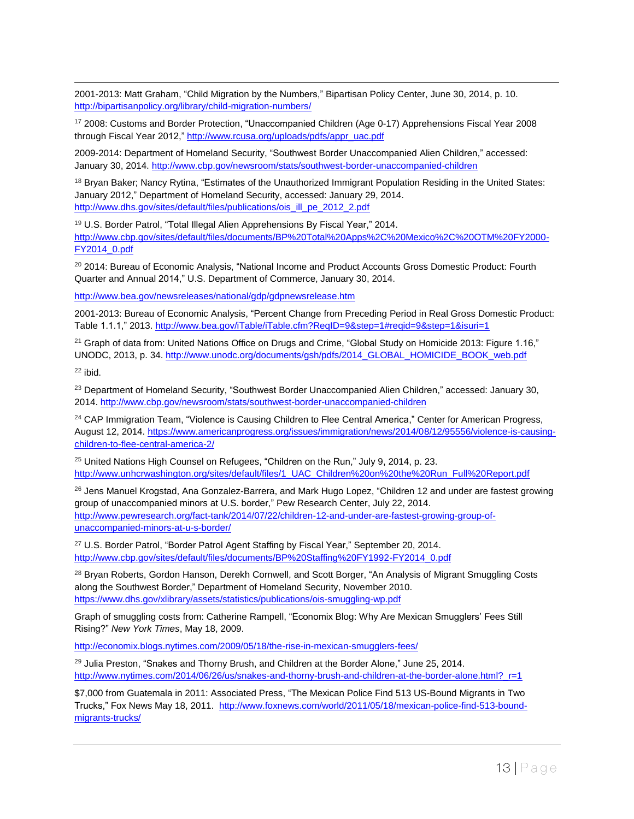2001-2013: Matt Graham, "Child Migration by the Numbers," Bipartisan Policy Center, June 30, 2014, p. 10. <http://bipartisanpolicy.org/library/child-migration-numbers/>

<sup>17</sup> 2008: Customs and Border Protection, "Unaccompanied Children (Age 0-17) Apprehensions Fiscal Year 2008 through Fiscal Year 2012," [http://www.rcusa.org/uploads/pdfs/appr\\_uac.pdf](http://www.rcusa.org/uploads/pdfs/appr_uac.pdf)

2009-2014: Department of Homeland Security, "Southwest Border Unaccompanied Alien Children," accessed: January 30, 2014. <http://www.cbp.gov/newsroom/stats/southwest-border-unaccompanied-children>

<sup>18</sup> Bryan Baker; Nancy Rytina, "Estimates of the Unauthorized Immigrant Population Residing in the United States: January 2012," Department of Homeland Security, accessed: January 29, 2014. [http://www.dhs.gov/sites/default/files/publications/ois\\_ill\\_pe\\_2012\\_2.pdf](http://www.dhs.gov/sites/default/files/publications/ois_ill_pe_2012_2.pdf)

<sup>19</sup> U.S. Border Patrol, "Total Illegal Alien Apprehensions By Fiscal Year," 2014. [http://www.cbp.gov/sites/default/files/documents/BP%20Total%20Apps%2C%20Mexico%2C%20OTM%20FY2000-](http://www.cbp.gov/sites/default/files/documents/BP%2520Total%2520Apps%252C%2520Mexico%252C%2520OTM%2520FY2000-FY2014_0.pdf) [FY2014\\_0.pdf](http://www.cbp.gov/sites/default/files/documents/BP%2520Total%2520Apps%252C%2520Mexico%252C%2520OTM%2520FY2000-FY2014_0.pdf)

<sup>20</sup> 2014: Bureau of Economic Analysis, "National Income and Product Accounts Gross Domestic Product: Fourth Quarter and Annual 2014," U.S. Department of Commerce, January 30, 2014.

<http://www.bea.gov/newsreleases/national/gdp/gdpnewsrelease.htm>

2001-2013: Bureau of Economic Analysis, "Percent Change from Preceding Period in Real Gross Domestic Product: Table 1.1.1," 2013. <http://www.bea.gov/iTable/iTable.cfm?ReqID=9&step=1#reqid=9&step=1&isuri=1>

 $21$  Graph of data from: United Nations Office on Drugs and Crime, "Global Study on Homicide 2013: Figure 1.16," UNODC, 2013, p. 34. [http://www.unodc.org/documents/gsh/pdfs/2014\\_GLOBAL\\_HOMICIDE\\_BOOK\\_web.pdf](http://www.unodc.org/documents/gsh/pdfs/2014_GLOBAL_HOMICIDE_BOOK_web.pdf)

 $22$  ibid.

 $\overline{a}$ 

<sup>23</sup> Department of Homeland Security, "Southwest Border Unaccompanied Alien Children," accessed: January 30, 2014. <http://www.cbp.gov/newsroom/stats/southwest-border-unaccompanied-children>

<sup>24</sup> CAP Immigration Team, "Violence is Causing Children to Flee Central America," Center for American Progress, August 12, 2014. [https://www.americanprogress.org/issues/immigration/news/2014/08/12/95556/violence-is-causing](https://www.americanprogress.org/issues/immigration/news/2014/08/12/95556/violence-is-causing-children-to-flee-central-america-2/)[children-to-flee-central-america-2/](https://www.americanprogress.org/issues/immigration/news/2014/08/12/95556/violence-is-causing-children-to-flee-central-america-2/)

<sup>25</sup> United Nations High Counsel on Refugees, "Children on the Run," July 9, 2014, p. 23. [http://www.unhcrwashington.org/sites/default/files/1\\_UAC\\_Children%20on%20the%20Run\\_Full%20Report.pdf](http://www.unhcrwashington.org/sites/default/files/1_UAC_Children%2520on%2520the%2520Run_Full%2520Report.pdf)

<sup>26</sup> Jens Manuel Krogstad, Ana Gonzalez-Barrera, and Mark Hugo Lopez, "Children 12 and under are fastest growing group of unaccompanied minors at U.S. border," Pew Research Center, July 22, 2014. [http://www.pewresearch.org/fact-tank/2014/07/22/children-12-and-under-are-fastest-growing-group-of](http://www.pewresearch.org/fact-tank/2014/07/22/children-12-and-under-are-fastest-growing-group-of-unaccompanied-minors-at-u-s-border/)[unaccompanied-minors-at-u-s-border/](http://www.pewresearch.org/fact-tank/2014/07/22/children-12-and-under-are-fastest-growing-group-of-unaccompanied-minors-at-u-s-border/)

<sup>27</sup> U.S. Border Patrol, "Border Patrol Agent Staffing by Fiscal Year," September 20, 2014. [http://www.cbp.gov/sites/default/files/documents/BP%20Staffing%20FY1992-FY2014\\_0.pdf](http://www.cbp.gov/sites/default/files/documents/BP%2520Staffing%2520FY1992-FY2014_0.pdf)

<sup>28</sup> Bryan Roberts, Gordon Hanson, Derekh Cornwell, and Scott Borger, "An Analysis of Migrant Smuggling Costs along the Southwest Border," Department of Homeland Security, November 2010. <https://www.dhs.gov/xlibrary/assets/statistics/publications/ois-smuggling-wp.pdf>

Graph of smuggling costs from: Catherine Rampell, "Economix Blog: Why Are Mexican Smugglers' Fees Still Rising?" *New York Times*, May 18, 2009.

<http://economix.blogs.nytimes.com/2009/05/18/the-rise-in-mexican-smugglers-fees/>

 $29$  Julia Preston, "Snakes and Thorny Brush, and Children at the Border Alone," June 25, 2014. [http://www.nytimes.com/2014/06/26/us/snakes-and-thorny-brush-and-children-at-the-border-alone.html?\\_r=1](http://www.nytimes.com/2014/06/26/us/snakes-and-thorny-brush-and-children-at-the-border-alone.html?_r=1)

\$7,000 from Guatemala in 2011: Associated Press, "The Mexican Police Find 513 US-Bound Migrants in Two Trucks," Fox News May 18, 2011. [http://www.foxnews.com/world/2011/05/18/mexican-police-find-513-bound](http://www.foxnews.com/world/2011/05/18/mexican-police-find-513-bound-migrants-trucks/)[migrants-trucks/](http://www.foxnews.com/world/2011/05/18/mexican-police-find-513-bound-migrants-trucks/)